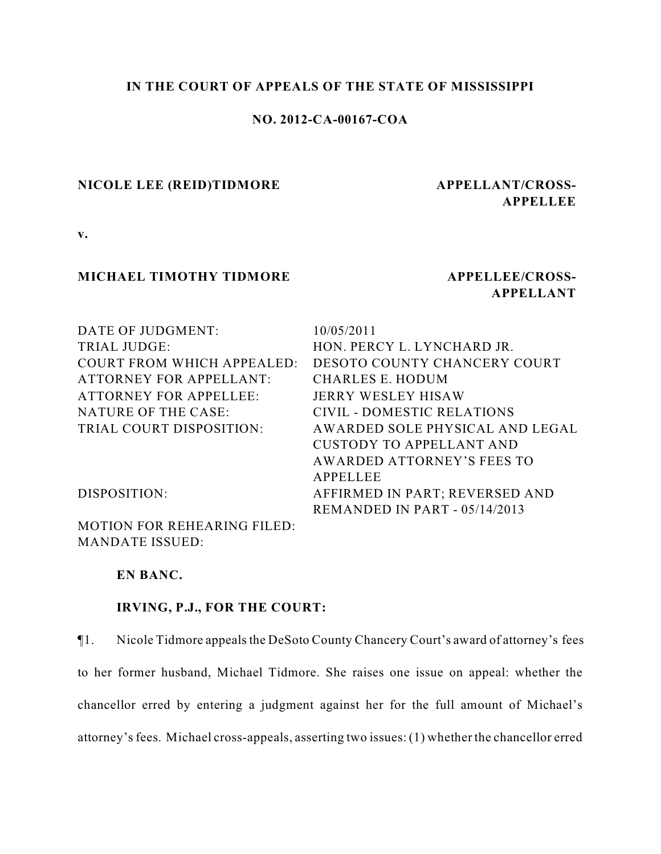#### **IN THE COURT OF APPEALS OF THE STATE OF MISSISSIPPI**

## **NO. 2012-CA-00167-COA**

#### **NICOLE LEE (REID)TIDMORE APPELLANT/CROSS-**

# **APPELLEE**

**v.**

#### **MICHAEL TIMOTHY TIDMORE APPELLEE/CROSS-**

## **APPELLANT**

| DATE OF JUDGMENT:                  | 10/05/2011                        |
|------------------------------------|-----------------------------------|
| <b>TRIAL JUDGE:</b>                | HON. PERCY L. LYNCHARD JR.        |
| <b>COURT FROM WHICH APPEALED:</b>  | DESOTO COUNTY CHANCERY COURT      |
| <b>ATTORNEY FOR APPELLANT:</b>     | CHARLES E. HODUM                  |
| <b>ATTORNEY FOR APPELLEE:</b>      | <b>JERRY WESLEY HISAW</b>         |
| NATURE OF THE CASE:                | <b>CIVIL - DOMESTIC RELATIONS</b> |
| TRIAL COURT DISPOSITION:           | AWARDED SOLE PHYSICAL AND LEGAL   |
|                                    | <b>CUSTODY TO APPELLANT AND</b>   |
|                                    | AWARDED ATTORNEY'S FEES TO        |
|                                    | APPELLEE                          |
| DISPOSITION:                       | AFFIRMED IN PART; REVERSED AND    |
|                                    | REMANDED IN PART - 05/14/2013     |
| <b>MOTION FOR REHEARING FILED:</b> |                                   |
| <b>MANDATE ISSUED:</b>             |                                   |

**EN BANC.**

#### **IRVING, P.J., FOR THE COURT:**

¶1. Nicole Tidmore appeals the DeSoto County Chancery Court's award of attorney's fees to her former husband, Michael Tidmore. She raises one issue on appeal: whether the chancellor erred by entering a judgment against her for the full amount of Michael's attorney's fees. Michael cross-appeals, asserting two issues: (1) whether the chancellor erred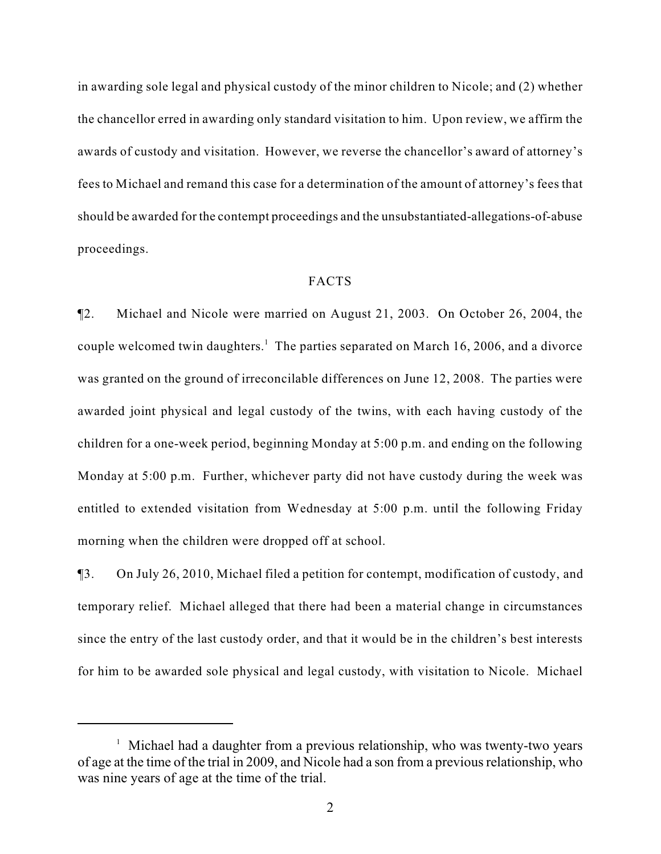in awarding sole legal and physical custody of the minor children to Nicole; and (2) whether the chancellor erred in awarding only standard visitation to him. Upon review, we affirm the awards of custody and visitation. However, we reverse the chancellor's award of attorney's fees to Michael and remand this case for a determination of the amount of attorney's fees that should be awarded for the contempt proceedings and the unsubstantiated-allegations-of-abuse proceedings.

#### FACTS

¶2. Michael and Nicole were married on August 21, 2003. On October 26, 2004, the couple welcomed twin daughters.<sup>1</sup> The parties separated on March 16, 2006, and a divorce was granted on the ground of irreconcilable differences on June 12, 2008. The parties were awarded joint physical and legal custody of the twins, with each having custody of the children for a one-week period, beginning Monday at 5:00 p.m. and ending on the following Monday at 5:00 p.m. Further, whichever party did not have custody during the week was entitled to extended visitation from Wednesday at 5:00 p.m. until the following Friday morning when the children were dropped off at school.

¶3. On July 26, 2010, Michael filed a petition for contempt, modification of custody, and temporary relief. Michael alleged that there had been a material change in circumstances since the entry of the last custody order, and that it would be in the children's best interests for him to be awarded sole physical and legal custody, with visitation to Nicole. Michael

<sup>&</sup>lt;sup>1</sup> Michael had a daughter from a previous relationship, who was twenty-two years of age at the time of the trial in 2009, and Nicole had a son from a previous relationship, who was nine years of age at the time of the trial.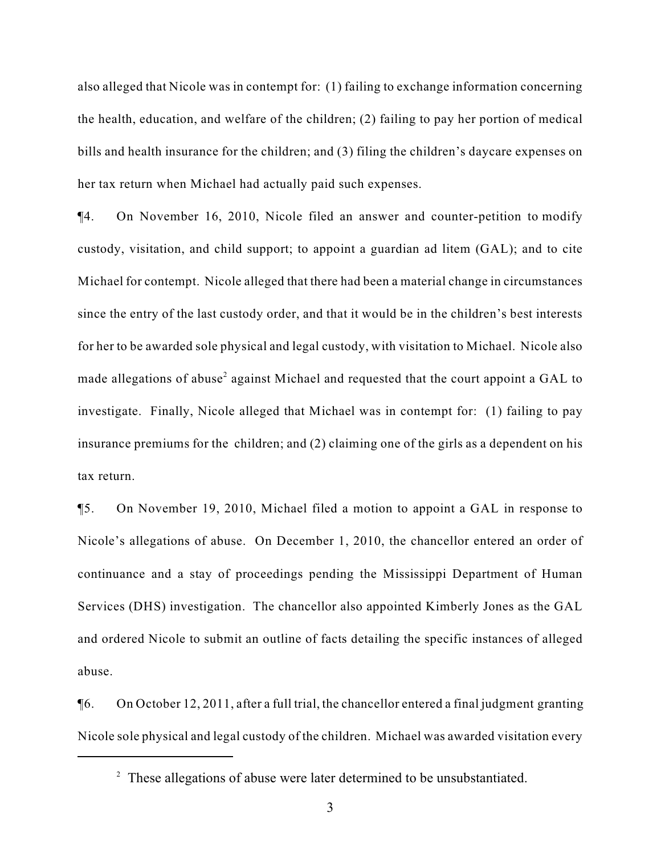also alleged that Nicole was in contempt for: (1) failing to exchange information concerning the health, education, and welfare of the children; (2) failing to pay her portion of medical bills and health insurance for the children; and (3) filing the children's daycare expenses on her tax return when Michael had actually paid such expenses.

¶4. On November 16, 2010, Nicole filed an answer and counter-petition to modify custody, visitation, and child support; to appoint a guardian ad litem (GAL); and to cite Michael for contempt. Nicole alleged that there had been a material change in circumstances since the entry of the last custody order, and that it would be in the children's best interests for her to be awarded sole physical and legal custody, with visitation to Michael. Nicole also made allegations of abuse<sup>2</sup> against Michael and requested that the court appoint a GAL to investigate. Finally, Nicole alleged that Michael was in contempt for: (1) failing to pay insurance premiums for the children; and (2) claiming one of the girls as a dependent on his tax return.

¶5. On November 19, 2010, Michael filed a motion to appoint a GAL in response to Nicole's allegations of abuse. On December 1, 2010, the chancellor entered an order of continuance and a stay of proceedings pending the Mississippi Department of Human Services (DHS) investigation. The chancellor also appointed Kimberly Jones as the GAL and ordered Nicole to submit an outline of facts detailing the specific instances of alleged abuse.

¶6. On October 12, 2011, after a full trial, the chancellor entered a final judgment granting Nicole sole physical and legal custody of the children. Michael was awarded visitation every

 $2^2$  These allegations of abuse were later determined to be unsubstantiated.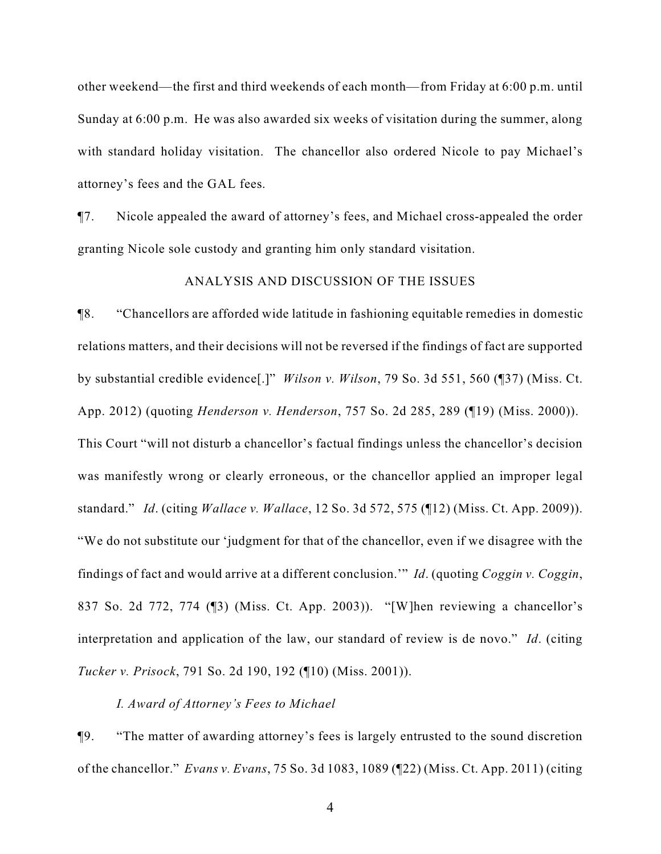other weekend—the first and third weekends of each month—from Friday at 6:00 p.m. until Sunday at 6:00 p.m. He was also awarded six weeks of visitation during the summer, along with standard holiday visitation. The chancellor also ordered Nicole to pay Michael's attorney's fees and the GAL fees.

¶7. Nicole appealed the award of attorney's fees, and Michael cross-appealed the order granting Nicole sole custody and granting him only standard visitation.

#### ANALYSIS AND DISCUSSION OF THE ISSUES

¶8. "Chancellors are afforded wide latitude in fashioning equitable remedies in domestic relations matters, and their decisions will not be reversed if the findings of fact are supported by substantial credible evidence[.]" *Wilson v. Wilson*, 79 So. 3d 551, 560 (¶37) (Miss. Ct. App. 2012) (quoting *Henderson v. Henderson*, 757 So. 2d 285, 289 (¶19) (Miss. 2000)). This Court "will not disturb a chancellor's factual findings unless the chancellor's decision was manifestly wrong or clearly erroneous, or the chancellor applied an improper legal standard." *Id*. (citing *Wallace v. Wallace*, 12 So. 3d 572, 575 (¶12) (Miss. Ct. App. 2009)). "We do not substitute our 'judgment for that of the chancellor, even if we disagree with the findings of fact and would arrive at a different conclusion.'" *Id*. (quoting *Coggin v. Coggin*, 837 So. 2d 772, 774 (¶3) (Miss. Ct. App. 2003)). "[W]hen reviewing a chancellor's interpretation and application of the law, our standard of review is de novo." *Id*. (citing *Tucker v. Prisock*, 791 So. 2d 190, 192 (¶10) (Miss. 2001)).

#### *I. Award of Attorney's Fees to Michael*

¶9. "The matter of awarding attorney's fees is largely entrusted to the sound discretion of the chancellor." *Evans v. Evans*, 75 So. 3d 1083, 1089 (¶22) (Miss. Ct. App. 2011) (citing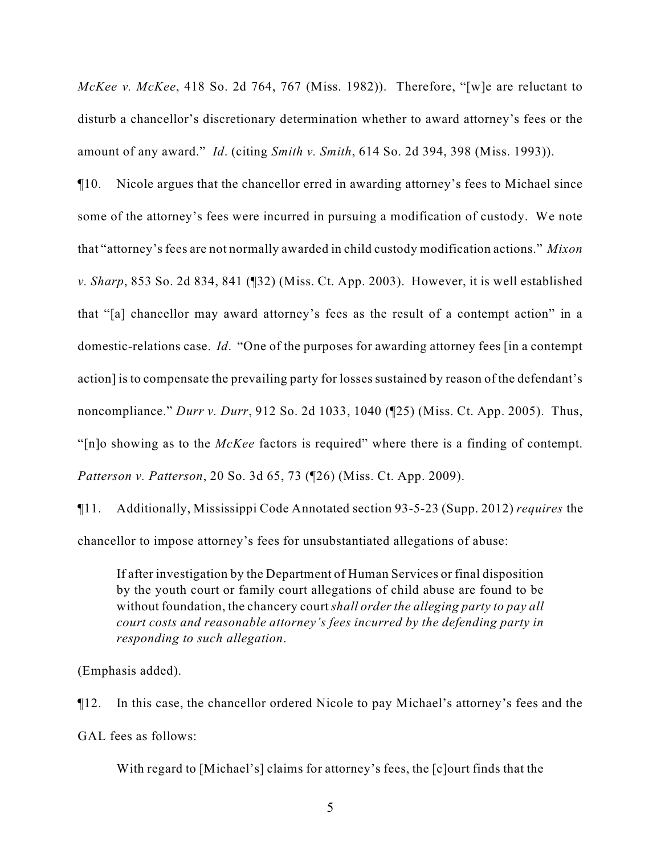*McKee v. McKee*, 418 So. 2d 764, 767 (Miss. 1982)). Therefore, "[w]e are reluctant to disturb a chancellor's discretionary determination whether to award attorney's fees or the amount of any award." *Id*. (citing *Smith v. Smith*, 614 So. 2d 394, 398 (Miss. 1993)).

¶10. Nicole argues that the chancellor erred in awarding attorney's fees to Michael since some of the attorney's fees were incurred in pursuing a modification of custody. We note that "attorney's fees are not normally awarded in child custody modification actions." *Mixon v. Sharp*, 853 So. 2d 834, 841 (¶32) (Miss. Ct. App. 2003). However, it is well established that "[a] chancellor may award attorney's fees as the result of a contempt action" in a domestic-relations case. *Id*. "One of the purposes for awarding attorney fees [in a contempt action] is to compensate the prevailing party for losses sustained by reason of the defendant's noncompliance." *Durr v. Durr*, 912 So. 2d 1033, 1040 (¶25) (Miss. Ct. App. 2005). Thus, "[n]o showing as to the *McKee* factors is required" where there is a finding of contempt. *Patterson v. Patterson*, 20 So. 3d 65, 73 (¶26) (Miss. Ct. App. 2009).

¶11. Additionally, Mississippi Code Annotated section 93-5-23 (Supp. 2012) *requires* the chancellor to impose attorney's fees for unsubstantiated allegations of abuse:

If after investigation by the Department of Human Services or final disposition by the youth court or family court allegations of child abuse are found to be without foundation, the chancery court *shall order the alleging party to pay all court costs and reasonable attorney's fees incurred by the defending party in responding to such allegation*.

(Emphasis added).

¶12. In this case, the chancellor ordered Nicole to pay Michael's attorney's fees and the

GAL fees as follows:

With regard to [Michael's] claims for attorney's fees, the [c]ourt finds that the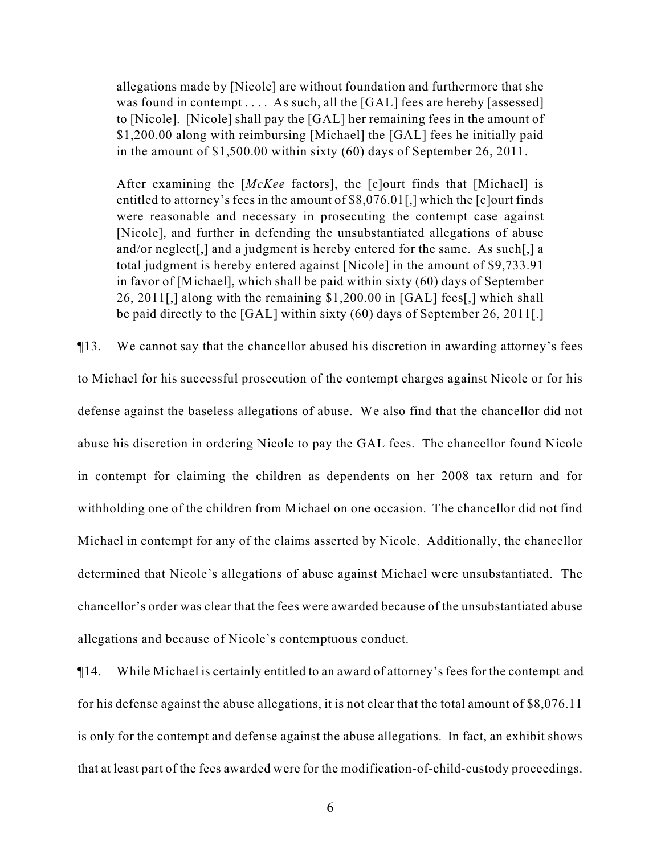allegations made by [Nicole] are without foundation and furthermore that she was found in contempt . . . . As such, all the [GAL] fees are hereby [assessed] to [Nicole]. [Nicole] shall pay the [GAL] her remaining fees in the amount of \$1,200.00 along with reimbursing [Michael] the [GAL] fees he initially paid in the amount of \$1,500.00 within sixty (60) days of September 26, 2011.

After examining the [*McKee* factors], the [c]ourt finds that [Michael] is entitled to attorney's fees in the amount of \$8,076.01[,] which the [c]ourt finds were reasonable and necessary in prosecuting the contempt case against [Nicole], and further in defending the unsubstantiated allegations of abuse and/or neglect[,] and a judgment is hereby entered for the same. As such[,] a total judgment is hereby entered against [Nicole] in the amount of \$9,733.91 in favor of [Michael], which shall be paid within sixty (60) days of September 26, 2011[,] along with the remaining \$1,200.00 in [GAL] fees[,] which shall be paid directly to the [GAL] within sixty (60) days of September 26, 2011[.]

¶13. We cannot say that the chancellor abused his discretion in awarding attorney's fees to Michael for his successful prosecution of the contempt charges against Nicole or for his defense against the baseless allegations of abuse. We also find that the chancellor did not abuse his discretion in ordering Nicole to pay the GAL fees. The chancellor found Nicole in contempt for claiming the children as dependents on her 2008 tax return and for withholding one of the children from Michael on one occasion. The chancellor did not find Michael in contempt for any of the claims asserted by Nicole. Additionally, the chancellor determined that Nicole's allegations of abuse against Michael were unsubstantiated. The chancellor's order was clear that the fees were awarded because of the unsubstantiated abuse allegations and because of Nicole's contemptuous conduct.

¶14. While Michael is certainly entitled to an award of attorney's fees for the contempt and for his defense against the abuse allegations, it is not clear that the total amount of \$8,076.11 is only for the contempt and defense against the abuse allegations. In fact, an exhibit shows that at least part of the fees awarded were for the modification-of-child-custody proceedings.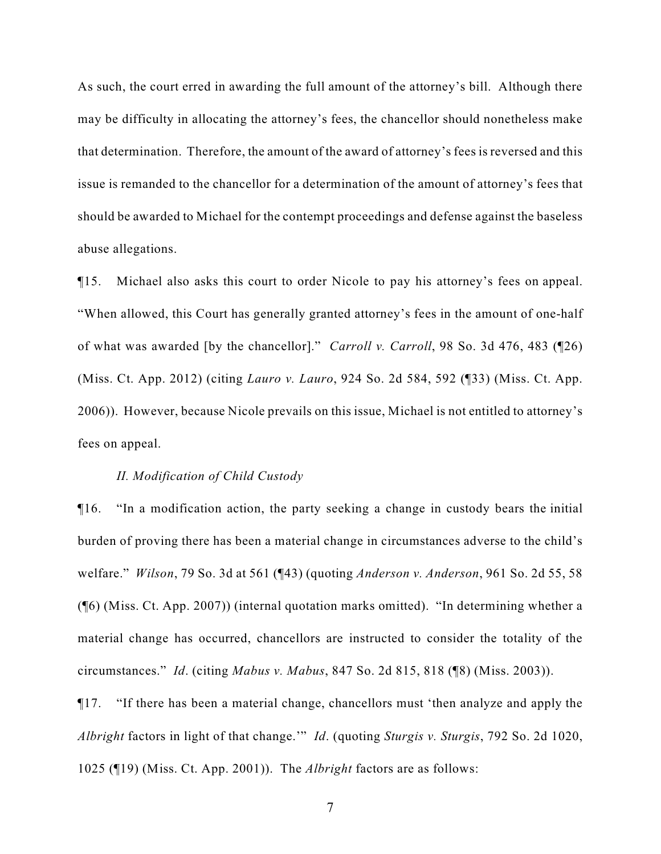As such, the court erred in awarding the full amount of the attorney's bill. Although there may be difficulty in allocating the attorney's fees, the chancellor should nonetheless make that determination. Therefore, the amount of the award of attorney's fees is reversed and this issue is remanded to the chancellor for a determination of the amount of attorney's fees that should be awarded to Michael for the contempt proceedings and defense against the baseless abuse allegations.

¶15. Michael also asks this court to order Nicole to pay his attorney's fees on appeal. "When allowed, this Court has generally granted attorney's fees in the amount of one-half of what was awarded [by the chancellor]." *Carroll v. Carroll*, 98 So. 3d 476, 483 (¶26) (Miss. Ct. App. 2012) (citing *Lauro v. Lauro*, 924 So. 2d 584, 592 (¶33) (Miss. Ct. App. 2006)). However, because Nicole prevails on this issue, Michael is not entitled to attorney's fees on appeal.

#### *II. Modification of Child Custody*

¶16. "In a modification action, the party seeking a change in custody bears the initial burden of proving there has been a material change in circumstances adverse to the child's welfare." *Wilson*, 79 So. 3d at 561 (¶43) (quoting *Anderson v. Anderson*, 961 So. 2d 55, 58 (¶6) (Miss. Ct. App. 2007)) (internal quotation marks omitted). "In determining whether a material change has occurred, chancellors are instructed to consider the totality of the circumstances." *Id*. (citing *Mabus v. Mabus*, 847 So. 2d 815, 818 (¶8) (Miss. 2003)).

¶17. "If there has been a material change, chancellors must 'then analyze and apply the *Albright* factors in light of that change.'" *Id*. (quoting *Sturgis v. Sturgis*, 792 So. 2d 1020, 1025 (¶19) (Miss. Ct. App. 2001)). The *Albright* factors are as follows: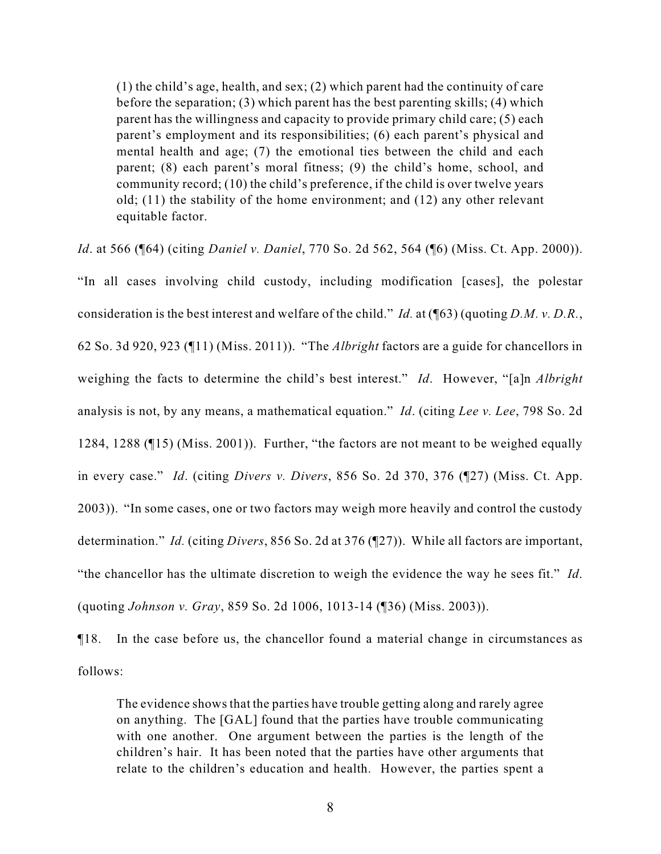(1) the child's age, health, and sex; (2) which parent had the continuity of care before the separation; (3) which parent has the best parenting skills; (4) which parent has the willingness and capacity to provide primary child care; (5) each parent's employment and its responsibilities; (6) each parent's physical and mental health and age; (7) the emotional ties between the child and each parent; (8) each parent's moral fitness; (9) the child's home, school, and community record; (10) the child's preference, if the child is over twelve years old; (11) the stability of the home environment; and (12) any other relevant equitable factor.

*Id*. at 566 (¶64) (citing *Daniel v. Daniel*, 770 So. 2d 562, 564 (¶6) (Miss. Ct. App. 2000)). "In all cases involving child custody, including modification [cases], the polestar consideration is the best interest and welfare of the child." *Id.* at (¶63) (quoting *D.M. v. D.R.*, 62 So. 3d 920, 923 (¶11) (Miss. 2011)). "The *Albright* factors are a guide for chancellors in weighing the facts to determine the child's best interest." *Id*. However, "[a]n *Albright* analysis is not, by any means, a mathematical equation." *Id*. (citing *Lee v. Lee*, 798 So. 2d 1284, 1288 (¶15) (Miss. 2001)). Further, "the factors are not meant to be weighed equally in every case." *Id*. (citing *Divers v. Divers*, 856 So. 2d 370, 376 (¶27) (Miss. Ct. App. 2003)). "In some cases, one or two factors may weigh more heavily and control the custody determination." *Id.* (citing *Divers*, 856 So. 2d at 376 (¶27)). While all factors are important, "the chancellor has the ultimate discretion to weigh the evidence the way he sees fit." *Id*. (quoting *Johnson v. Gray*, 859 So. 2d 1006, 1013-14 (¶36) (Miss. 2003)).

¶18. In the case before us, the chancellor found a material change in circumstances as follows:

The evidence shows that the parties have trouble getting along and rarely agree on anything. The [GAL] found that the parties have trouble communicating with one another. One argument between the parties is the length of the children's hair. It has been noted that the parties have other arguments that relate to the children's education and health. However, the parties spent a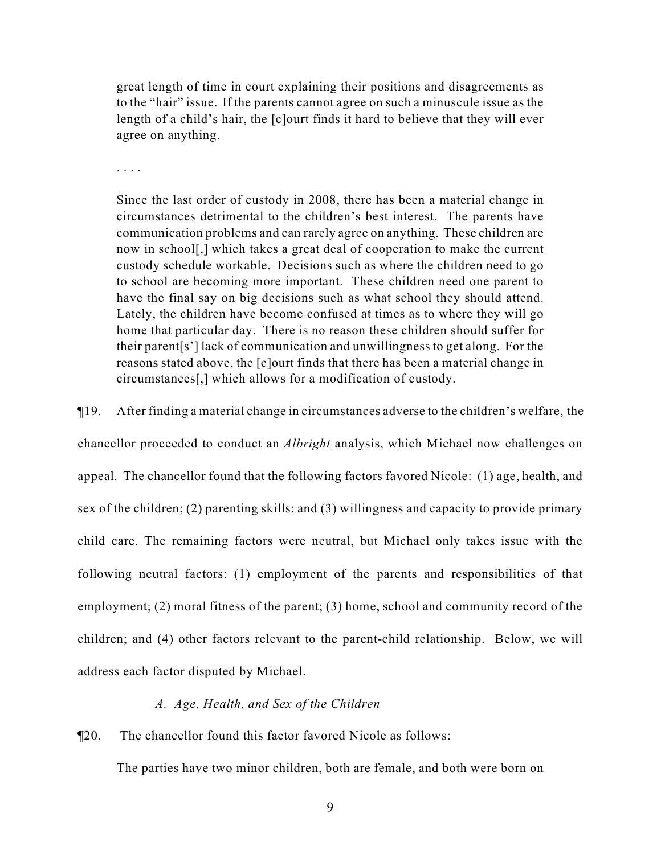great length of time in court explaining their positions and disagreements as to the "hair" issue. If the parents cannot agree on such a minuscule issue as the length of a child's hair, the [c]ourt finds it hard to believe that they will ever agree on anything.

. . . .

Since the last order of custody in 2008, there has been a material change in circumstances detrimental to the children's best interest. The parents have communication problems and can rarely agree on anything. These children are now in school[,] which takes a great deal of cooperation to make the current custody schedule workable. Decisions such as where the children need to go to school are becoming more important. These children need one parent to have the final say on big decisions such as what school they should attend. Lately, the children have become confused at times as to where they will go home that particular day. There is no reason these children should suffer for their parent[s'] lack of communication and unwillingness to get along. For the reasons stated above, the [c]ourt finds that there has been a material change in circumstances[,] which allows for a modification of custody.

¶19. After finding a material change in circumstances adverse to the children's welfare, the chancellor proceeded to conduct an *Albright* analysis, which Michael now challenges on appeal. The chancellor found that the following factors favored Nicole: (1) age, health, and sex of the children; (2) parenting skills; and (3) willingness and capacity to provide primary child care. The remaining factors were neutral, but Michael only takes issue with the following neutral factors: (1) employment of the parents and responsibilities of that employment; (2) moral fitness of the parent; (3) home, school and community record of the children; and (4) other factors relevant to the parent-child relationship. Below, we will address each factor disputed by Michael.

#### *A. Age, Health, and Sex of the Children*

¶20. The chancellor found this factor favored Nicole as follows:

The parties have two minor children, both are female, and both were born on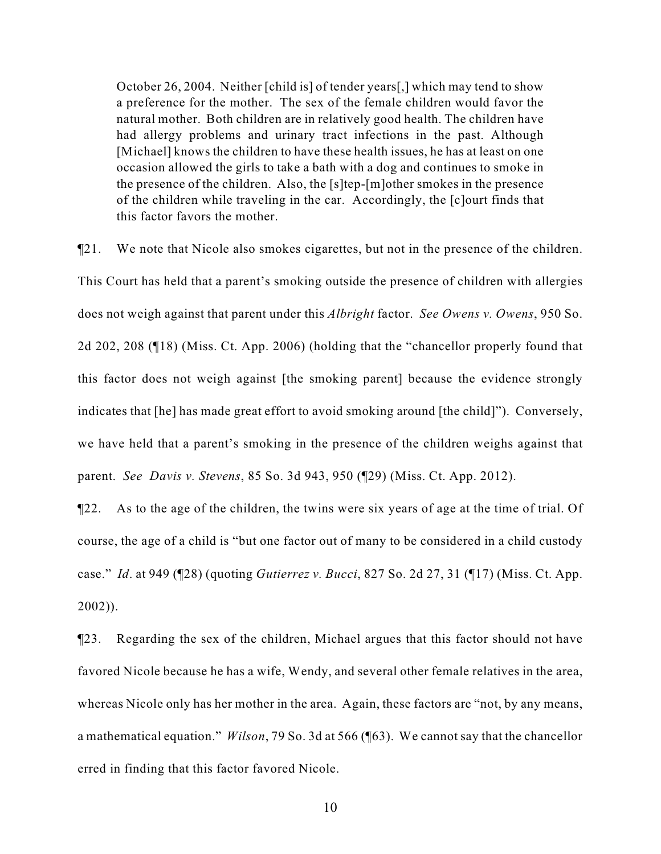October 26, 2004. Neither [child is] of tender years[,] which may tend to show a preference for the mother. The sex of the female children would favor the natural mother. Both children are in relatively good health. The children have had allergy problems and urinary tract infections in the past. Although [Michael] knows the children to have these health issues, he has at least on one occasion allowed the girls to take a bath with a dog and continues to smoke in the presence of the children. Also, the [s]tep-[m]other smokes in the presence of the children while traveling in the car. Accordingly, the [c]ourt finds that this factor favors the mother.

¶21. We note that Nicole also smokes cigarettes, but not in the presence of the children. This Court has held that a parent's smoking outside the presence of children with allergies does not weigh against that parent under this *Albright* factor. *See Owens v. Owens*, 950 So. 2d 202, 208 (¶18) (Miss. Ct. App. 2006) (holding that the "chancellor properly found that this factor does not weigh against [the smoking parent] because the evidence strongly indicates that [he] has made great effort to avoid smoking around [the child]"). Conversely, we have held that a parent's smoking in the presence of the children weighs against that parent. *See Davis v. Stevens*, 85 So. 3d 943, 950 (¶29) (Miss. Ct. App. 2012).

¶22. As to the age of the children, the twins were six years of age at the time of trial. Of course, the age of a child is "but one factor out of many to be considered in a child custody case." *Id*. at 949 (¶28) (quoting *Gutierrez v. Bucci*, 827 So. 2d 27, 31 (¶17) (Miss. Ct. App. 2002)).

¶23. Regarding the sex of the children, Michael argues that this factor should not have favored Nicole because he has a wife, Wendy, and several other female relatives in the area, whereas Nicole only has her mother in the area. Again, these factors are "not, by any means, a mathematical equation." *Wilson*, 79 So. 3d at 566 (¶63). We cannot say that the chancellor erred in finding that this factor favored Nicole.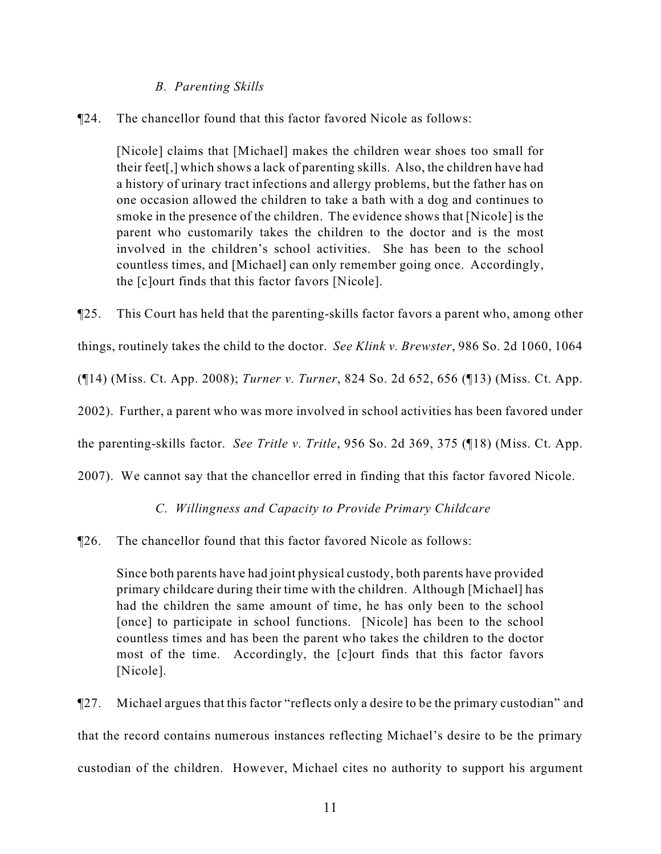#### *B. Parenting Skills*

¶24. The chancellor found that this factor favored Nicole as follows:

[Nicole] claims that [Michael] makes the children wear shoes too small for their feet[,] which shows a lack of parenting skills. Also, the children have had a history of urinary tract infections and allergy problems, but the father has on one occasion allowed the children to take a bath with a dog and continues to smoke in the presence of the children. The evidence shows that [Nicole] is the parent who customarily takes the children to the doctor and is the most involved in the children's school activities. She has been to the school countless times, and [Michael] can only remember going once. Accordingly, the [c]ourt finds that this factor favors [Nicole].

¶25. This Court has held that the parenting-skills factor favors a parent who, among other

things, routinely takes the child to the doctor. *See Klink v. Brewster*, 986 So. 2d 1060, 1064

(¶14) (Miss. Ct. App. 2008); *Turner v. Turner*, 824 So. 2d 652, 656 (¶13) (Miss. Ct. App.

2002). Further, a parent who was more involved in school activities has been favored under

the parenting-skills factor. *See Tritle v. Tritle*, 956 So. 2d 369, 375 (¶18) (Miss. Ct. App.

2007). We cannot say that the chancellor erred in finding that this factor favored Nicole.

## *C. Willingness and Capacity to Provide Primary Childcare*

¶26. The chancellor found that this factor favored Nicole as follows:

Since both parents have had joint physical custody, both parents have provided primary childcare during their time with the children. Although [Michael] has had the children the same amount of time, he has only been to the school [once] to participate in school functions. [Nicole] has been to the school countless times and has been the parent who takes the children to the doctor most of the time. Accordingly, the [c]ourt finds that this factor favors [Nicole].

¶27. Michael argues that this factor "reflects only a desire to be the primary custodian" and that the record contains numerous instances reflecting Michael's desire to be the primary custodian of the children. However, Michael cites no authority to support his argument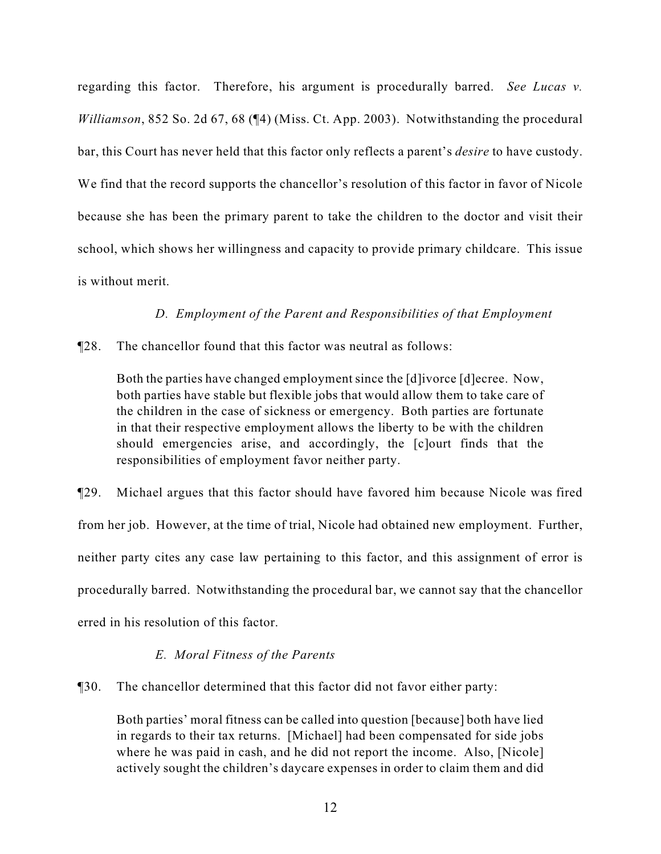regarding this factor. Therefore, his argument is procedurally barred. *See Lucas v. Williamson*, 852 So. 2d 67, 68 (¶4) (Miss. Ct. App. 2003). Notwithstanding the procedural bar, this Court has never held that this factor only reflects a parent's *desire* to have custody. We find that the record supports the chancellor's resolution of this factor in favor of Nicole because she has been the primary parent to take the children to the doctor and visit their school, which shows her willingness and capacity to provide primary childcare. This issue is without merit.

## *D. Employment of the Parent and Responsibilities of that Employment*

¶28. The chancellor found that this factor was neutral as follows:

Both the parties have changed employment since the [d]ivorce [d]ecree. Now, both parties have stable but flexible jobs that would allow them to take care of the children in the case of sickness or emergency. Both parties are fortunate in that their respective employment allows the liberty to be with the children should emergencies arise, and accordingly, the [c]ourt finds that the responsibilities of employment favor neither party.

¶29. Michael argues that this factor should have favored him because Nicole was fired from her job. However, at the time of trial, Nicole had obtained new employment. Further, neither party cites any case law pertaining to this factor, and this assignment of error is procedurally barred. Notwithstanding the procedural bar, we cannot say that the chancellor erred in his resolution of this factor.

## *E. Moral Fitness of the Parents*

¶30. The chancellor determined that this factor did not favor either party:

Both parties' moral fitness can be called into question [because] both have lied in regards to their tax returns. [Michael] had been compensated for side jobs where he was paid in cash, and he did not report the income. Also, [Nicole] actively sought the children's daycare expenses in order to claim them and did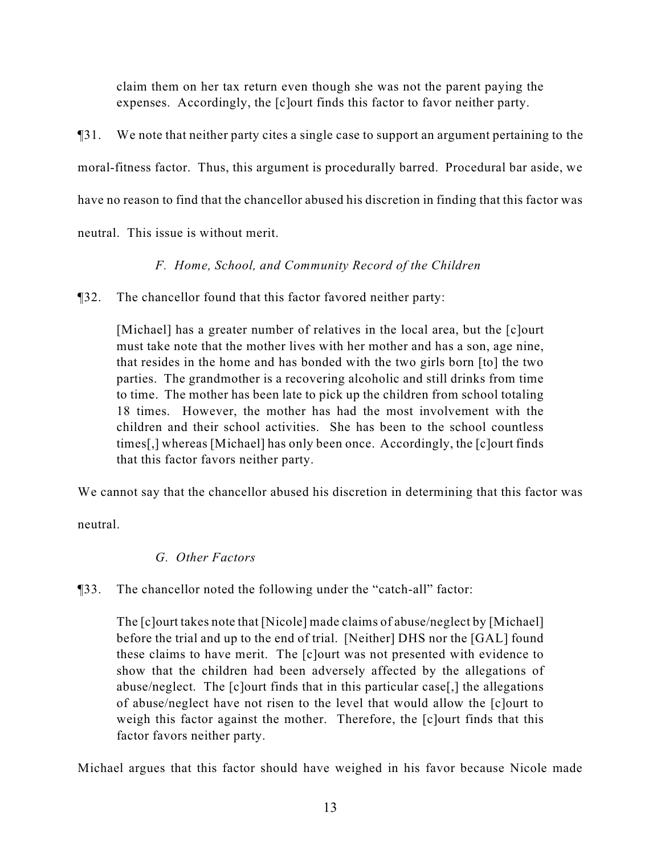claim them on her tax return even though she was not the parent paying the expenses. Accordingly, the [c]ourt finds this factor to favor neither party.

¶31. We note that neither party cites a single case to support an argument pertaining to the moral-fitness factor. Thus, this argument is procedurally barred. Procedural bar aside, we have no reason to find that the chancellor abused his discretion in finding that this factor was neutral. This issue is without merit.

## *F. Home, School, and Community Record of the Children*

¶32. The chancellor found that this factor favored neither party:

[Michael] has a greater number of relatives in the local area, but the [c]ourt must take note that the mother lives with her mother and has a son, age nine, that resides in the home and has bonded with the two girls born [to] the two parties. The grandmother is a recovering alcoholic and still drinks from time to time. The mother has been late to pick up the children from school totaling 18 times. However, the mother has had the most involvement with the children and their school activities. She has been to the school countless times[,] whereas [Michael] has only been once. Accordingly, the [c]ourt finds that this factor favors neither party.

We cannot say that the chancellor abused his discretion in determining that this factor was

neutral.

## *G. Other Factors*

## ¶33. The chancellor noted the following under the "catch-all" factor:

The [c]ourt takes note that [Nicole] made claims of abuse/neglect by [Michael] before the trial and up to the end of trial. [Neither] DHS nor the [GAL] found these claims to have merit. The [c]ourt was not presented with evidence to show that the children had been adversely affected by the allegations of abuse/neglect. The [c]ourt finds that in this particular case[,] the allegations of abuse/neglect have not risen to the level that would allow the [c]ourt to weigh this factor against the mother. Therefore, the [c]ourt finds that this factor favors neither party.

Michael argues that this factor should have weighed in his favor because Nicole made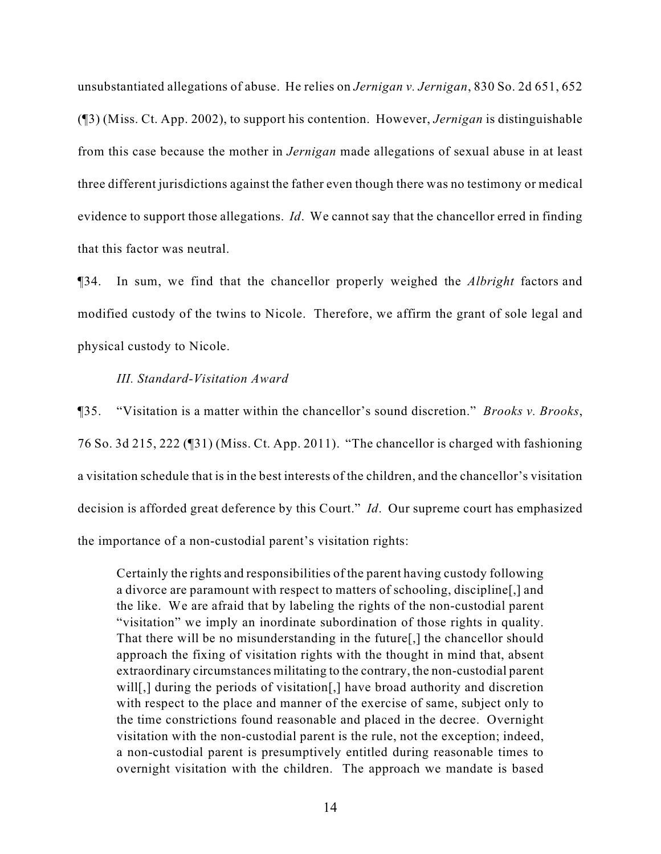unsubstantiated allegations of abuse. He relies on *Jernigan v. Jernigan*, 830 So. 2d 651, 652 (¶3) (Miss. Ct. App. 2002), to support his contention. However, *Jernigan* is distinguishable from this case because the mother in *Jernigan* made allegations of sexual abuse in at least three different jurisdictions against the father even though there was no testimony or medical evidence to support those allegations. *Id*. We cannot say that the chancellor erred in finding that this factor was neutral.

¶34. In sum, we find that the chancellor properly weighed the *Albright* factors and modified custody of the twins to Nicole. Therefore, we affirm the grant of sole legal and physical custody to Nicole.

#### *III. Standard-Visitation Award*

¶35. "Visitation is a matter within the chancellor's sound discretion." *Brooks v. Brooks*, 76 So. 3d 215, 222 (¶31) (Miss. Ct. App. 2011). "The chancellor is charged with fashioning a visitation schedule that is in the best interests of the children, and the chancellor's visitation decision is afforded great deference by this Court." *Id*. Our supreme court has emphasized the importance of a non-custodial parent's visitation rights:

Certainly the rights and responsibilities of the parent having custody following a divorce are paramount with respect to matters of schooling, discipline[,] and the like. We are afraid that by labeling the rights of the non-custodial parent "visitation" we imply an inordinate subordination of those rights in quality. That there will be no misunderstanding in the future[,] the chancellor should approach the fixing of visitation rights with the thought in mind that, absent extraordinary circumstances militating to the contrary, the non-custodial parent will[,] during the periods of visitation[,] have broad authority and discretion with respect to the place and manner of the exercise of same, subject only to the time constrictions found reasonable and placed in the decree. Overnight visitation with the non-custodial parent is the rule, not the exception; indeed, a non-custodial parent is presumptively entitled during reasonable times to overnight visitation with the children. The approach we mandate is based